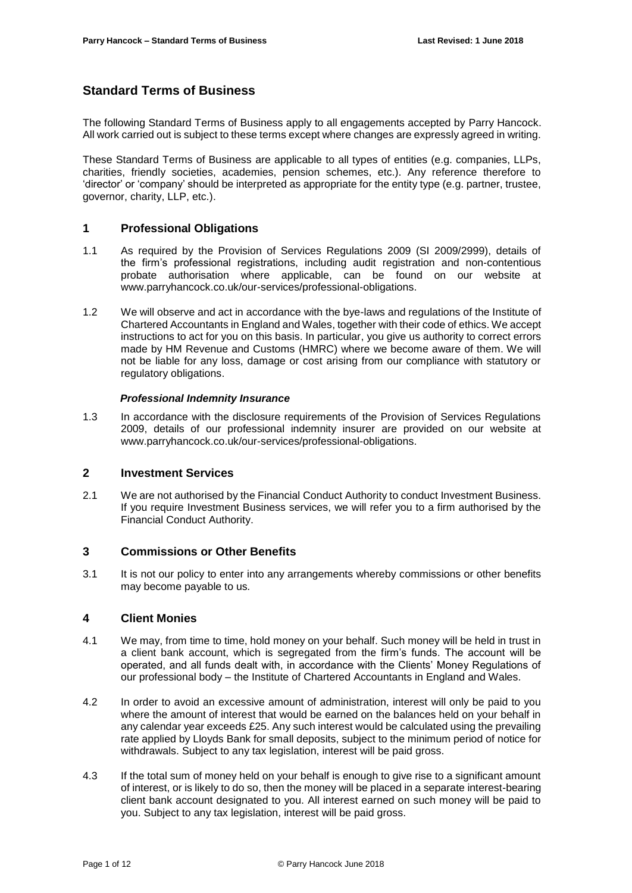# **Standard Terms of Business**

The following Standard Terms of Business apply to all engagements accepted by Parry Hancock. All work carried out is subject to these terms except where changes are expressly agreed in writing.

These Standard Terms of Business are applicable to all types of entities (e.g. companies, LLPs, charities, friendly societies, academies, pension schemes, etc.). Any reference therefore to 'director' or 'company' should be interpreted as appropriate for the entity type (e.g. partner, trustee, governor, charity, LLP, etc.).

# **1 Professional Obligations**

- 1.1 As required by the Provision of Services Regulations 2009 (SI 2009/2999), details of the firm's professional registrations, including audit registration and non-contentious probate authorisation where applicable, can be found on our website at www.parryhancock.co.uk/our-services/professional-obligations.
- 1.2 We will observe and act in accordance with the bye-laws and regulations of the Institute of Chartered Accountants in England and Wales, together with their code of ethics. We accept instructions to act for you on this basis. In particular, you give us authority to correct errors made by HM Revenue and Customs (HMRC) where we become aware of them. We will not be liable for any loss, damage or cost arising from our compliance with statutory or regulatory obligations.

#### *Professional Indemnity Insurance*

1.3 In accordance with the disclosure requirements of the Provision of Services Regulations 2009, details of our professional indemnity insurer are provided on our website at www.parryhancock.co.uk/our-services/professional-obligations.

#### **2 Investment Services**

2.1 We are not authorised by the Financial Conduct Authority to conduct Investment Business. If you require Investment Business services, we will refer you to a firm authorised by the Financial Conduct Authority.

# **3 Commissions or Other Benefits**

3.1 It is not our policy to enter into any arrangements whereby commissions or other benefits may become payable to us*.*

# **4 Client Monies**

- 4.1 We may, from time to time, hold money on your behalf. Such money will be held in trust in a client bank account, which is segregated from the firm's funds. The account will be operated, and all funds dealt with, in accordance with the Clients' Money Regulations of our professional body – the Institute of Chartered Accountants in England and Wales.
- 4.2 In order to avoid an excessive amount of administration, interest will only be paid to you where the amount of interest that would be earned on the balances held on your behalf in any calendar year exceeds £25. Any such interest would be calculated using the prevailing rate applied by Lloyds Bank for small deposits, subject to the minimum period of notice for withdrawals. Subject to any tax legislation, interest will be paid gross.
- 4.3 If the total sum of money held on your behalf is enough to give rise to a significant amount of interest, or is likely to do so, then the money will be placed in a separate interest-bearing client bank account designated to you. All interest earned on such money will be paid to you. Subject to any tax legislation, interest will be paid gross.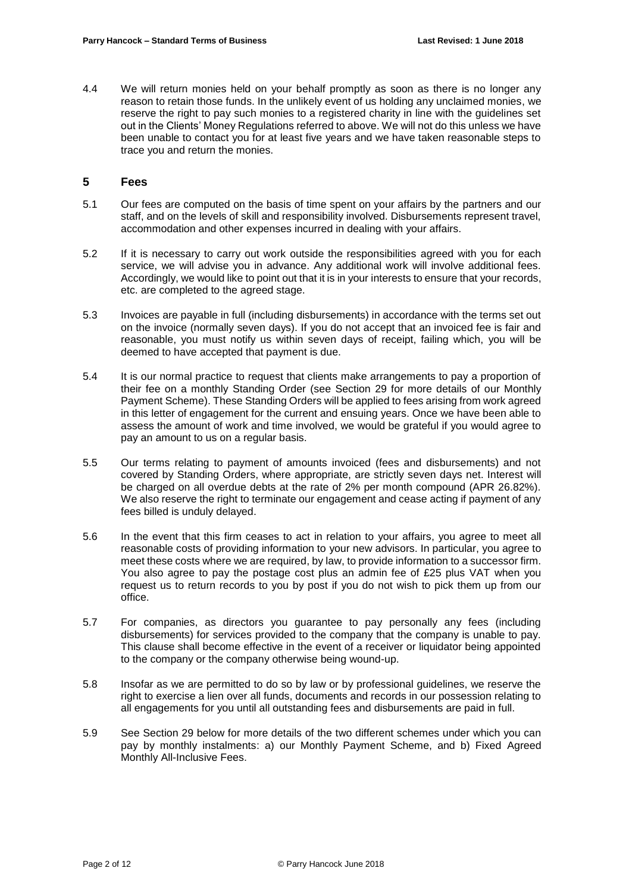4.4 We will return monies held on your behalf promptly as soon as there is no longer any reason to retain those funds. In the unlikely event of us holding any unclaimed monies, we reserve the right to pay such monies to a registered charity in line with the guidelines set out in the Clients' Money Regulations referred to above. We will not do this unless we have been unable to contact you for at least five years and we have taken reasonable steps to trace you and return the monies.

### **5 Fees**

- 5.1 Our fees are computed on the basis of time spent on your affairs by the partners and our staff, and on the levels of skill and responsibility involved. Disbursements represent travel, accommodation and other expenses incurred in dealing with your affairs.
- 5.2 If it is necessary to carry out work outside the responsibilities agreed with you for each service, we will advise you in advance. Any additional work will involve additional fees. Accordingly, we would like to point out that it is in your interests to ensure that your records, etc. are completed to the agreed stage.
- 5.3 Invoices are payable in full (including disbursements) in accordance with the terms set out on the invoice (normally seven days). If you do not accept that an invoiced fee is fair and reasonable, you must notify us within seven days of receipt, failing which, you will be deemed to have accepted that payment is due.
- 5.4 It is our normal practice to request that clients make arrangements to pay a proportion of their fee on a monthly Standing Order (see Section 29 for more details of our Monthly Payment Scheme). These Standing Orders will be applied to fees arising from work agreed in this letter of engagement for the current and ensuing years. Once we have been able to assess the amount of work and time involved, we would be grateful if you would agree to pay an amount to us on a regular basis.
- 5.5 Our terms relating to payment of amounts invoiced (fees and disbursements) and not covered by Standing Orders, where appropriate, are strictly seven days net. Interest will be charged on all overdue debts at the rate of 2% per month compound (APR 26.82%). We also reserve the right to terminate our engagement and cease acting if payment of any fees billed is unduly delayed.
- 5.6 In the event that this firm ceases to act in relation to your affairs, you agree to meet all reasonable costs of providing information to your new advisors. In particular, you agree to meet these costs where we are required, by law, to provide information to a successor firm. You also agree to pay the postage cost plus an admin fee of £25 plus VAT when you request us to return records to you by post if you do not wish to pick them up from our office.
- 5.7 For companies, as directors you guarantee to pay personally any fees (including disbursements) for services provided to the company that the company is unable to pay. This clause shall become effective in the event of a receiver or liquidator being appointed to the company or the company otherwise being wound-up.
- 5.8 Insofar as we are permitted to do so by law or by professional guidelines, we reserve the right to exercise a lien over all funds, documents and records in our possession relating to all engagements for you until all outstanding fees and disbursements are paid in full.
- 5.9 See Section 29 below for more details of the two different schemes under which you can pay by monthly instalments: a) our Monthly Payment Scheme, and b) Fixed Agreed Monthly All-Inclusive Fees.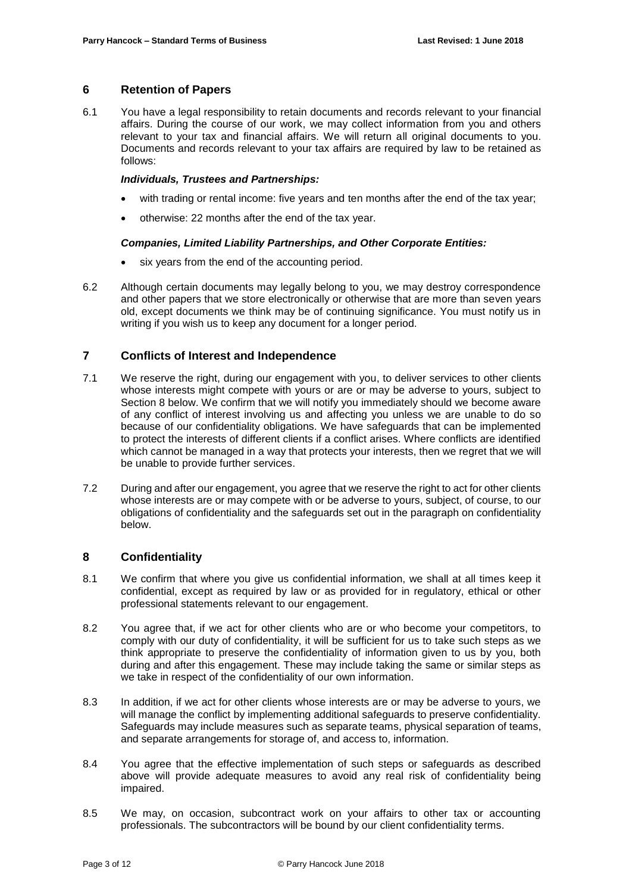### **6 Retention of Papers**

6.1 You have a legal responsibility to retain documents and records relevant to your financial affairs. During the course of our work, we may collect information from you and others relevant to your tax and financial affairs. We will return all original documents to you. Documents and records relevant to your tax affairs are required by law to be retained as follows:

#### *Individuals, Trustees and Partnerships:*

- with trading or rental income: five years and ten months after the end of the tax year;
- otherwise: 22 months after the end of the tax year.

### *Companies, Limited Liability Partnerships, and Other Corporate Entities:*

- six years from the end of the accounting period.
- 6.2 Although certain documents may legally belong to you, we may destroy correspondence and other papers that we store electronically or otherwise that are more than seven years old, except documents we think may be of continuing significance. You must notify us in writing if you wish us to keep any document for a longer period.

# **7 Conflicts of Interest and Independence**

- 7.1 We reserve the right, during our engagement with you, to deliver services to other clients whose interests might compete with yours or are or may be adverse to yours, subject to Section 8 below. We confirm that we will notify you immediately should we become aware of any conflict of interest involving us and affecting you unless we are unable to do so because of our confidentiality obligations. We have safeguards that can be implemented to protect the interests of different clients if a conflict arises. Where conflicts are identified which cannot be managed in a way that protects your interests, then we regret that we will be unable to provide further services.
- 7.2 During and after our engagement, you agree that we reserve the right to act for other clients whose interests are or may compete with or be adverse to yours, subject, of course, to our obligations of confidentiality and the safeguards set out in the paragraph on confidentiality below.

# **8 Confidentiality**

- 8.1 We confirm that where you give us confidential information, we shall at all times keep it confidential, except as required by law or as provided for in regulatory, ethical or other professional statements relevant to our engagement.
- 8.2 You agree that, if we act for other clients who are or who become your competitors, to comply with our duty of confidentiality, it will be sufficient for us to take such steps as we think appropriate to preserve the confidentiality of information given to us by you, both during and after this engagement. These may include taking the same or similar steps as we take in respect of the confidentiality of our own information.
- 8.3 In addition, if we act for other clients whose interests are or may be adverse to yours, we will manage the conflict by implementing additional safeguards to preserve confidentiality. Safeguards may include measures such as separate teams, physical separation of teams, and separate arrangements for storage of, and access to, information.
- 8.4 You agree that the effective implementation of such steps or safeguards as described above will provide adequate measures to avoid any real risk of confidentiality being impaired.
- 8.5 We may, on occasion, subcontract work on your affairs to other tax or accounting professionals. The subcontractors will be bound by our client confidentiality terms.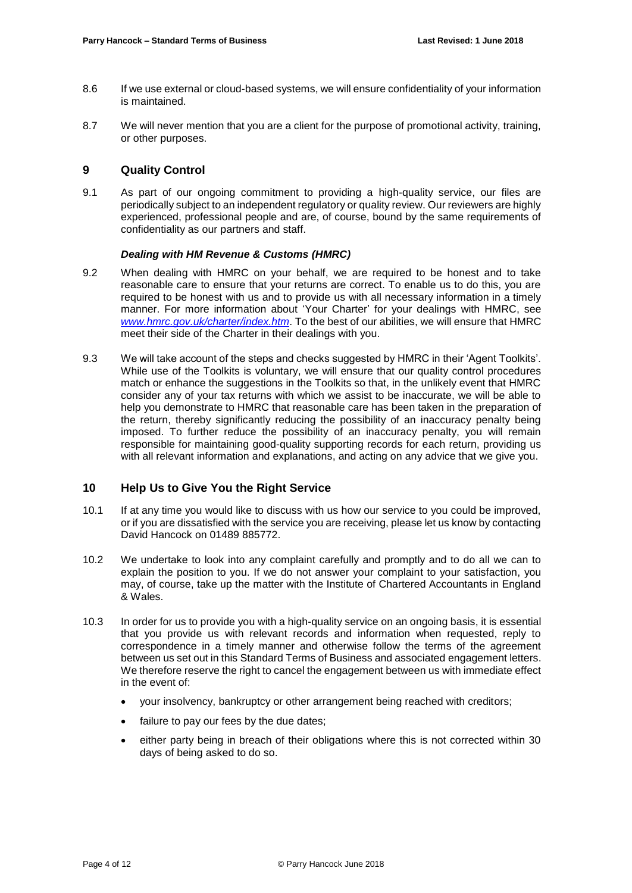- 8.6 If we use external or cloud-based systems, we will ensure confidentiality of your information is maintained.
- 8.7 We will never mention that you are a client for the purpose of promotional activity, training, or other purposes.

### **9 Quality Control**

9.1 As part of our ongoing commitment to providing a high-quality service, our files are periodically subject to an independent regulatory or quality review. Our reviewers are highly experienced, professional people and are, of course, bound by the same requirements of confidentiality as our partners and staff.

#### *Dealing with HM Revenue & Customs (HMRC)*

- 9.2 When dealing with HMRC on your behalf, we are required to be honest and to take reasonable care to ensure that your returns are correct. To enable us to do this, you are required to be honest with us and to provide us with all necessary information in a timely manner. For more information about 'Your Charter' for your dealings with HMRC, see *[www.hmrc.gov.uk/charter/index.htm](http://www.hmrc.gov.uk/charter/index.htm)*. To the best of our abilities, we will ensure that HMRC meet their side of the Charter in their dealings with you.
- 9.3 We will take account of the steps and checks suggested by HMRC in their 'Agent Toolkits'. While use of the Toolkits is voluntary, we will ensure that our quality control procedures match or enhance the suggestions in the Toolkits so that, in the unlikely event that HMRC consider any of your tax returns with which we assist to be inaccurate, we will be able to help you demonstrate to HMRC that reasonable care has been taken in the preparation of the return, thereby significantly reducing the possibility of an inaccuracy penalty being imposed. To further reduce the possibility of an inaccuracy penalty, you will remain responsible for maintaining good-quality supporting records for each return, providing us with all relevant information and explanations, and acting on any advice that we give you.

# **10 Help Us to Give You the Right Service**

- 10.1 If at any time you would like to discuss with us how our service to you could be improved, or if you are dissatisfied with the service you are receiving, please let us know by contacting David Hancock on 01489 885772.
- 10.2 We undertake to look into any complaint carefully and promptly and to do all we can to explain the position to you. If we do not answer your complaint to your satisfaction, you may, of course, take up the matter with the Institute of Chartered Accountants in England & Wales.
- 10.3 In order for us to provide you with a high-quality service on an ongoing basis, it is essential that you provide us with relevant records and information when requested, reply to correspondence in a timely manner and otherwise follow the terms of the agreement between us set out in this Standard Terms of Business and associated engagement letters. We therefore reserve the right to cancel the engagement between us with immediate effect in the event of:
	- your insolvency, bankruptcy or other arrangement being reached with creditors;
	- failure to pay our fees by the due dates;
	- either party being in breach of their obligations where this is not corrected within 30 days of being asked to do so.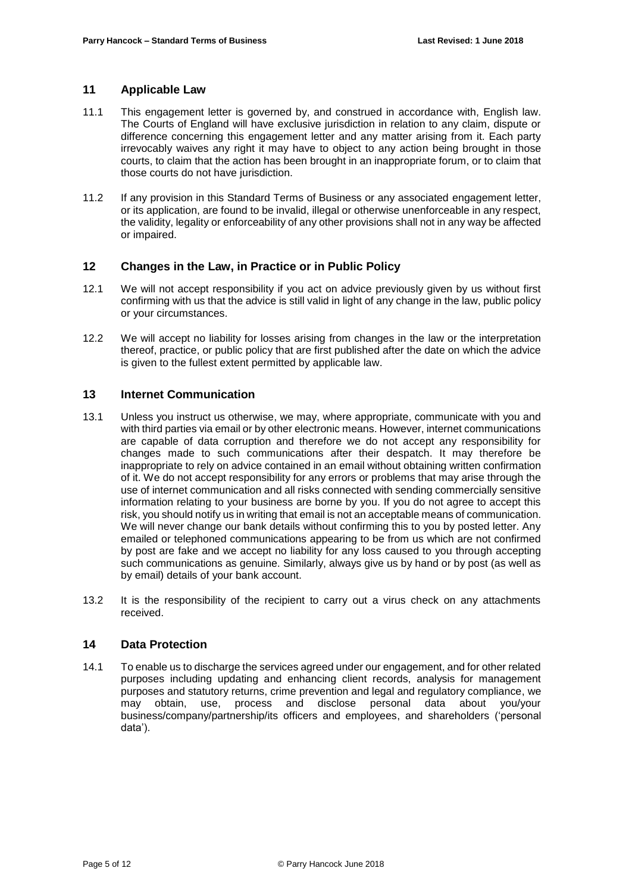# **11 Applicable Law**

- 11.1 This engagement letter is governed by, and construed in accordance with, English law. The Courts of England will have exclusive jurisdiction in relation to any claim, dispute or difference concerning this engagement letter and any matter arising from it. Each party irrevocably waives any right it may have to object to any action being brought in those courts, to claim that the action has been brought in an inappropriate forum, or to claim that those courts do not have jurisdiction.
- 11.2 If any provision in this Standard Terms of Business or any associated engagement letter, or its application, are found to be invalid, illegal or otherwise unenforceable in any respect, the validity, legality or enforceability of any other provisions shall not in any way be affected or impaired.

# **12 Changes in the Law, in Practice or in Public Policy**

- 12.1 We will not accept responsibility if you act on advice previously given by us without first confirming with us that the advice is still valid in light of any change in the law, public policy or your circumstances.
- 12.2 We will accept no liability for losses arising from changes in the law or the interpretation thereof, practice, or public policy that are first published after the date on which the advice is given to the fullest extent permitted by applicable law.

# **13 Internet Communication**

- 13.1 Unless you instruct us otherwise, we may, where appropriate, communicate with you and with third parties via email or by other electronic means. However, internet communications are capable of data corruption and therefore we do not accept any responsibility for changes made to such communications after their despatch. It may therefore be inappropriate to rely on advice contained in an email without obtaining written confirmation of it. We do not accept responsibility for any errors or problems that may arise through the use of internet communication and all risks connected with sending commercially sensitive information relating to your business are borne by you. If you do not agree to accept this risk, you should notify us in writing that email is not an acceptable means of communication. We will never change our bank details without confirming this to you by posted letter. Any emailed or telephoned communications appearing to be from us which are not confirmed by post are fake and we accept no liability for any loss caused to you through accepting such communications as genuine. Similarly, always give us by hand or by post (as well as by email) details of your bank account.
- 13.2 It is the responsibility of the recipient to carry out a virus check on any attachments received.

### **14 Data Protection**

14.1 To enable us to discharge the services agreed under our engagement, and for other related purposes including updating and enhancing client records, analysis for management purposes and statutory returns, crime prevention and legal and regulatory compliance, we may obtain, use, process and disclose personal data about you/your business/company/partnership/its officers and employees, and shareholders ('personal data').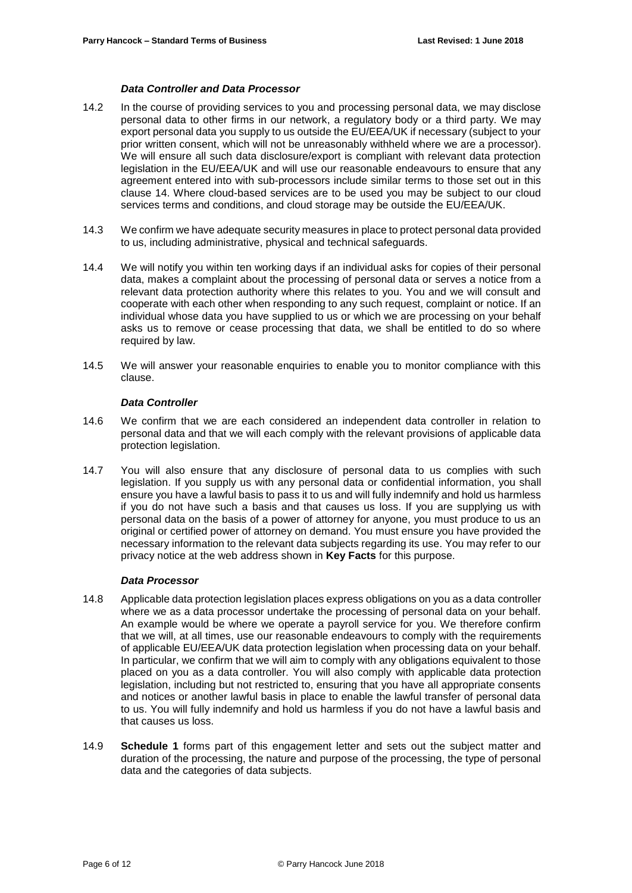#### *Data Controller and Data Processor*

- 14.2 In the course of providing services to you and processing personal data, we may disclose personal data to other firms in our network, a regulatory body or a third party. We may export personal data you supply to us outside the EU/EEA/UK if necessary (subject to your prior written consent, which will not be unreasonably withheld where we are a processor). We will ensure all such data disclosure/export is compliant with relevant data protection legislation in the EU/EEA/UK and will use our reasonable endeavours to ensure that any agreement entered into with sub-processors include similar terms to those set out in this clause 14. Where cloud-based services are to be used you may be subject to our cloud services terms and conditions, and cloud storage may be outside the EU/EEA/UK.
- 14.3 We confirm we have adequate security measures in place to protect personal data provided to us, including administrative, physical and technical safeguards.
- 14.4 We will notify you within ten working days if an individual asks for copies of their personal data, makes a complaint about the processing of personal data or serves a notice from a relevant data protection authority where this relates to you. You and we will consult and cooperate with each other when responding to any such request, complaint or notice. If an individual whose data you have supplied to us or which we are processing on your behalf asks us to remove or cease processing that data, we shall be entitled to do so where required by law.
- 14.5 We will answer your reasonable enquiries to enable you to monitor compliance with this clause.

#### *Data Controller*

- 14.6 We confirm that we are each considered an independent data controller in relation to personal data and that we will each comply with the relevant provisions of applicable data protection legislation.
- 14.7 You will also ensure that any disclosure of personal data to us complies with such legislation. If you supply us with any personal data or confidential information, you shall ensure you have a lawful basis to pass it to us and will fully indemnify and hold us harmless if you do not have such a basis and that causes us loss. If you are supplying us with personal data on the basis of a power of attorney for anyone, you must produce to us an original or certified power of attorney on demand. You must ensure you have provided the necessary information to the relevant data subjects regarding its use. You may refer to our privacy notice at the web address shown in **Key Facts** for this purpose.

#### *Data Processor*

- 14.8 Applicable data protection legislation places express obligations on you as a data controller where we as a data processor undertake the processing of personal data on your behalf. An example would be where we operate a payroll service for you. We therefore confirm that we will, at all times, use our reasonable endeavours to comply with the requirements of applicable EU/EEA/UK data protection legislation when processing data on your behalf. In particular, we confirm that we will aim to comply with any obligations equivalent to those placed on you as a data controller. You will also comply with applicable data protection legislation, including but not restricted to, ensuring that you have all appropriate consents and notices or another lawful basis in place to enable the lawful transfer of personal data to us. You will fully indemnify and hold us harmless if you do not have a lawful basis and that causes us loss.
- 14.9 **Schedule 1** forms part of this engagement letter and sets out the subject matter and duration of the processing, the nature and purpose of the processing, the type of personal data and the categories of data subjects.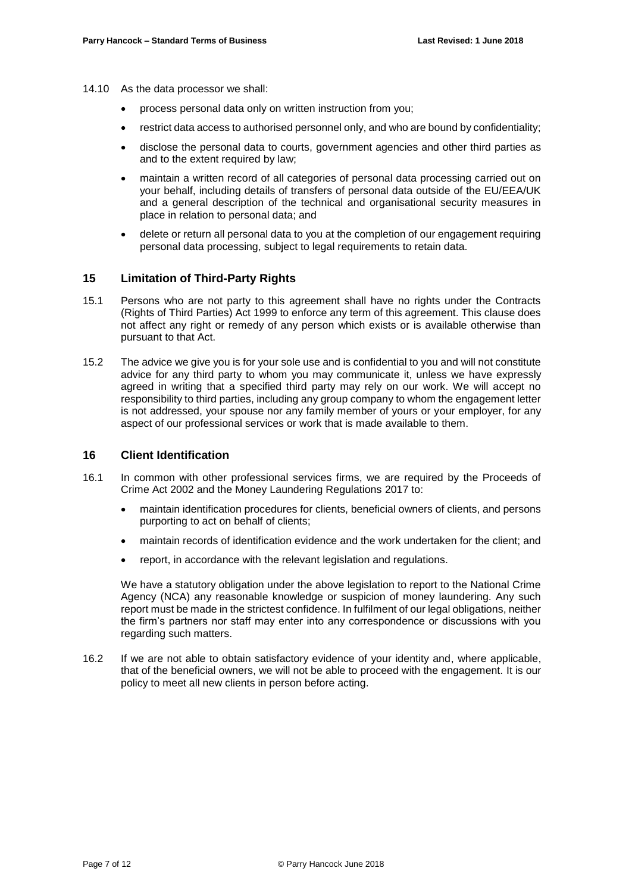- 14.10 As the data processor we shall:
	- process personal data only on written instruction from you;
	- restrict data access to authorised personnel only, and who are bound by confidentiality;
	- disclose the personal data to courts, government agencies and other third parties as and to the extent required by law;
	- maintain a written record of all categories of personal data processing carried out on your behalf, including details of transfers of personal data outside of the EU/EEA/UK and a general description of the technical and organisational security measures in place in relation to personal data; and
	- delete or return all personal data to you at the completion of our engagement requiring personal data processing, subject to legal requirements to retain data.

# **15 Limitation of Third-Party Rights**

- 15.1 Persons who are not party to this agreement shall have no rights under the Contracts (Rights of Third Parties) Act 1999 to enforce any term of this agreement. This clause does not affect any right or remedy of any person which exists or is available otherwise than pursuant to that Act.
- 15.2 The advice we give you is for your sole use and is confidential to you and will not constitute advice for any third party to whom you may communicate it, unless we have expressly agreed in writing that a specified third party may rely on our work. We will accept no responsibility to third parties, including any group company to whom the engagement letter is not addressed, your spouse nor any family member of yours or your employer, for any aspect of our professional services or work that is made available to them.

#### **16 Client Identification**

- 16.1 In common with other professional services firms, we are required by the Proceeds of Crime Act 2002 and the Money Laundering Regulations 2017 to:
	- maintain identification procedures for clients, beneficial owners of clients, and persons purporting to act on behalf of clients;
	- maintain records of identification evidence and the work undertaken for the client; and
	- report, in accordance with the relevant legislation and regulations.

We have a statutory obligation under the above legislation to report to the National Crime Agency (NCA) any reasonable knowledge or suspicion of money laundering. Any such report must be made in the strictest confidence. In fulfilment of our legal obligations, neither the firm's partners nor staff may enter into any correspondence or discussions with you regarding such matters.

16.2 If we are not able to obtain satisfactory evidence of your identity and, where applicable, that of the beneficial owners, we will not be able to proceed with the engagement. It is our policy to meet all new clients in person before acting.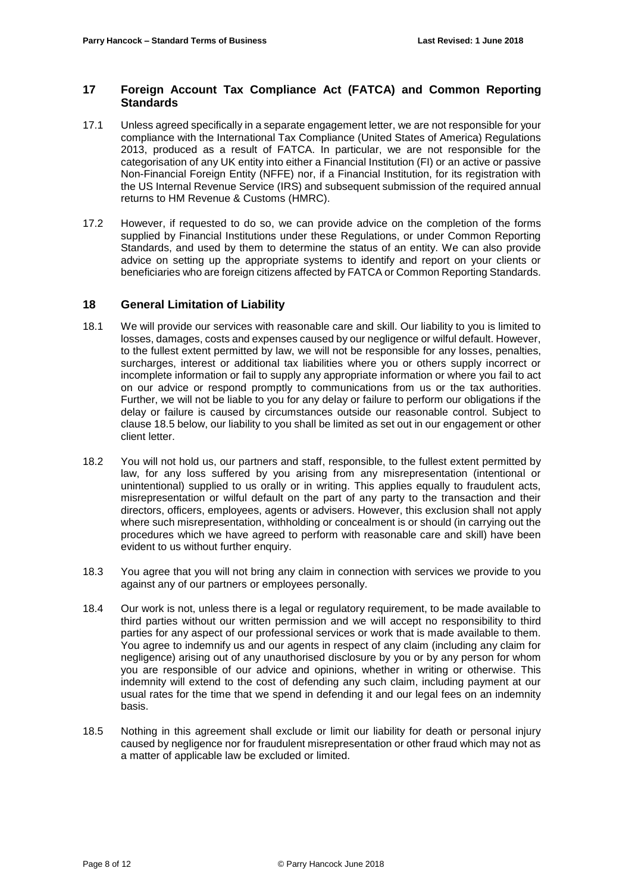# **17 Foreign Account Tax Compliance Act (FATCA) and Common Reporting Standards**

- 17.1 Unless agreed specifically in a separate engagement letter, we are not responsible for your compliance with the International Tax Compliance (United States of America) Regulations 2013, produced as a result of FATCA. In particular, we are not responsible for the categorisation of any UK entity into either a Financial Institution (FI) or an active or passive Non-Financial Foreign Entity (NFFE) nor, if a Financial Institution, for its registration with the US Internal Revenue Service (IRS) and subsequent submission of the required annual returns to HM Revenue & Customs (HMRC).
- 17.2 However, if requested to do so, we can provide advice on the completion of the forms supplied by Financial Institutions under these Regulations, or under Common Reporting Standards, and used by them to determine the status of an entity. We can also provide advice on setting up the appropriate systems to identify and report on your clients or beneficiaries who are foreign citizens affected by FATCA or Common Reporting Standards.

### **18 General Limitation of Liability**

- 18.1 We will provide our services with reasonable care and skill. Our liability to you is limited to losses, damages, costs and expenses caused by our negligence or wilful default. However, to the fullest extent permitted by law, we will not be responsible for any losses, penalties, surcharges, interest or additional tax liabilities where you or others supply incorrect or incomplete information or fail to supply any appropriate information or where you fail to act on our advice or respond promptly to communications from us or the tax authorities. Further, we will not be liable to you for any delay or failure to perform our obligations if the delay or failure is caused by circumstances outside our reasonable control. Subject to clause 18.5 below, our liability to you shall be limited as set out in our engagement or other client letter.
- 18.2 You will not hold us, our partners and staff, responsible, to the fullest extent permitted by law, for any loss suffered by you arising from any misrepresentation (intentional or unintentional) supplied to us orally or in writing. This applies equally to fraudulent acts, misrepresentation or wilful default on the part of any party to the transaction and their directors, officers, employees, agents or advisers. However, this exclusion shall not apply where such misrepresentation, withholding or concealment is or should (in carrying out the procedures which we have agreed to perform with reasonable care and skill) have been evident to us without further enquiry.
- 18.3 You agree that you will not bring any claim in connection with services we provide to you against any of our partners or employees personally.
- 18.4 Our work is not, unless there is a legal or regulatory requirement, to be made available to third parties without our written permission and we will accept no responsibility to third parties for any aspect of our professional services or work that is made available to them. You agree to indemnify us and our agents in respect of any claim (including any claim for negligence) arising out of any unauthorised disclosure by you or by any person for whom you are responsible of our advice and opinions, whether in writing or otherwise. This indemnity will extend to the cost of defending any such claim, including payment at our usual rates for the time that we spend in defending it and our legal fees on an indemnity basis.
- 18.5 Nothing in this agreement shall exclude or limit our liability for death or personal injury caused by negligence nor for fraudulent misrepresentation or other fraud which may not as a matter of applicable law be excluded or limited.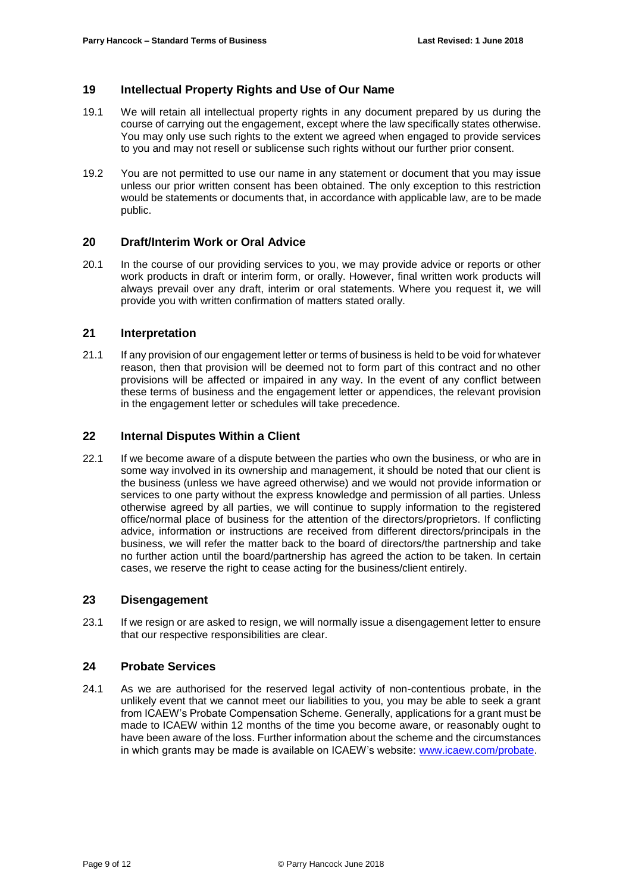# **19 Intellectual Property Rights and Use of Our Name**

- 19.1 We will retain all intellectual property rights in any document prepared by us during the course of carrying out the engagement, except where the law specifically states otherwise. You may only use such rights to the extent we agreed when engaged to provide services to you and may not resell or sublicense such rights without our further prior consent.
- 19.2 You are not permitted to use our name in any statement or document that you may issue unless our prior written consent has been obtained. The only exception to this restriction would be statements or documents that, in accordance with applicable law, are to be made public.

### **20 Draft/Interim Work or Oral Advice**

20.1 In the course of our providing services to you, we may provide advice or reports or other work products in draft or interim form, or orally. However, final written work products will always prevail over any draft, interim or oral statements. Where you request it, we will provide you with written confirmation of matters stated orally.

### **21 Interpretation**

21.1 If any provision of our engagement letter or terms of business is held to be void for whatever reason, then that provision will be deemed not to form part of this contract and no other provisions will be affected or impaired in any way. In the event of any conflict between these terms of business and the engagement letter or appendices, the relevant provision in the engagement letter or schedules will take precedence.

# **22 Internal Disputes Within a Client**

22.1 If we become aware of a dispute between the parties who own the business, or who are in some way involved in its ownership and management, it should be noted that our client is the business (unless we have agreed otherwise) and we would not provide information or services to one party without the express knowledge and permission of all parties. Unless otherwise agreed by all parties, we will continue to supply information to the registered office/normal place of business for the attention of the directors/proprietors. If conflicting advice, information or instructions are received from different directors/principals in the business, we will refer the matter back to the board of directors/the partnership and take no further action until the board/partnership has agreed the action to be taken. In certain cases, we reserve the right to cease acting for the business/client entirely.

# **23 Disengagement**

23.1 If we resign or are asked to resign, we will normally issue a disengagement letter to ensure that our respective responsibilities are clear.

### **24 Probate Services**

24.1 As we are authorised for the reserved legal activity of non-contentious probate, in the unlikely event that we cannot meet our liabilities to you, you may be able to seek a grant from ICAEW's Probate Compensation Scheme. Generally, applications for a grant must be made to ICAEW within 12 months of the time you become aware, or reasonably ought to have been aware of the loss. Further information about the scheme and the circumstances in which grants may be made is available on ICAEW's website: [www.icaew.com/probate.](http://www.icaew.com/probate)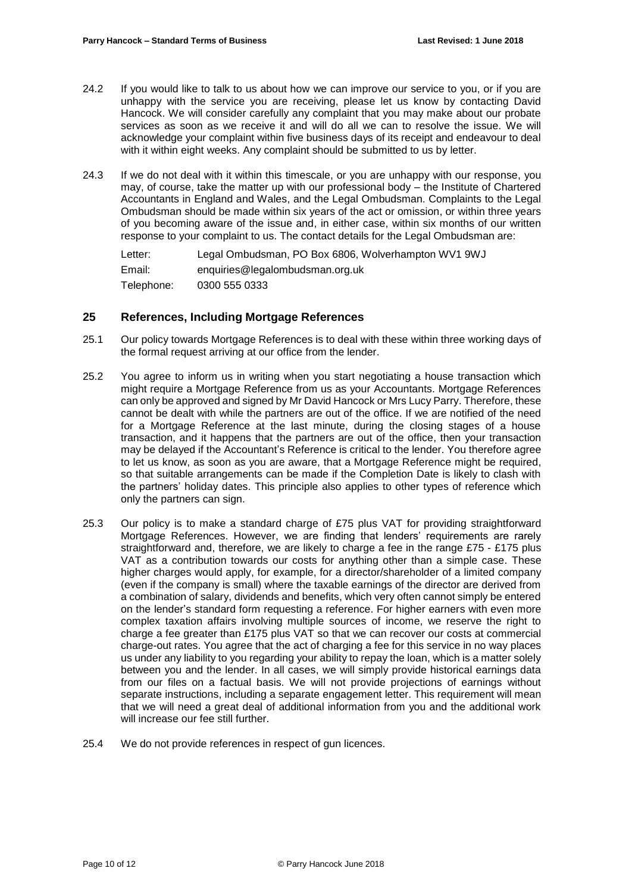- 24.2 If you would like to talk to us about how we can improve our service to you, or if you are unhappy with the service you are receiving, please let us know by contacting David Hancock. We will consider carefully any complaint that you may make about our probate services as soon as we receive it and will do all we can to resolve the issue. We will acknowledge your complaint within five business days of its receipt and endeavour to deal with it within eight weeks. Any complaint should be submitted to us by letter.
- 24.3 If we do not deal with it within this timescale, or you are unhappy with our response, you may, of course, take the matter up with our professional body – the Institute of Chartered Accountants in England and Wales, and the Legal Ombudsman. Complaints to the Legal Ombudsman should be made within six years of the act or omission, or within three years of you becoming aware of the issue and, in either case, within six months of our written response to your complaint to us. The contact details for the Legal Ombudsman are:

Letter: Legal Ombudsman, PO Box 6806, Wolverhampton WV1 9WJ Email: enquiries@legalombudsman.org.uk Telephone: 0300 555 0333

### **25 References, Including Mortgage References**

- 25.1 Our policy towards Mortgage References is to deal with these within three working days of the formal request arriving at our office from the lender.
- 25.2 You agree to inform us in writing when you start negotiating a house transaction which might require a Mortgage Reference from us as your Accountants. Mortgage References can only be approved and signed by Mr David Hancock or Mrs Lucy Parry. Therefore, these cannot be dealt with while the partners are out of the office. If we are notified of the need for a Mortgage Reference at the last minute, during the closing stages of a house transaction, and it happens that the partners are out of the office, then your transaction may be delayed if the Accountant's Reference is critical to the lender. You therefore agree to let us know, as soon as you are aware, that a Mortgage Reference might be required, so that suitable arrangements can be made if the Completion Date is likely to clash with the partners' holiday dates. This principle also applies to other types of reference which only the partners can sign.
- 25.3 Our policy is to make a standard charge of £75 plus VAT for providing straightforward Mortgage References. However, we are finding that lenders' requirements are rarely straightforward and, therefore, we are likely to charge a fee in the range £75 - £175 plus VAT as a contribution towards our costs for anything other than a simple case. These higher charges would apply, for example, for a director/shareholder of a limited company (even if the company is small) where the taxable earnings of the director are derived from a combination of salary, dividends and benefits, which very often cannot simply be entered on the lender's standard form requesting a reference. For higher earners with even more complex taxation affairs involving multiple sources of income, we reserve the right to charge a fee greater than £175 plus VAT so that we can recover our costs at commercial charge-out rates. You agree that the act of charging a fee for this service in no way places us under any liability to you regarding your ability to repay the loan, which is a matter solely between you and the lender. In all cases, we will simply provide historical earnings data from our files on a factual basis. We will not provide projections of earnings without separate instructions, including a separate engagement letter. This requirement will mean that we will need a great deal of additional information from you and the additional work will increase our fee still further.
- 25.4 We do not provide references in respect of gun licences.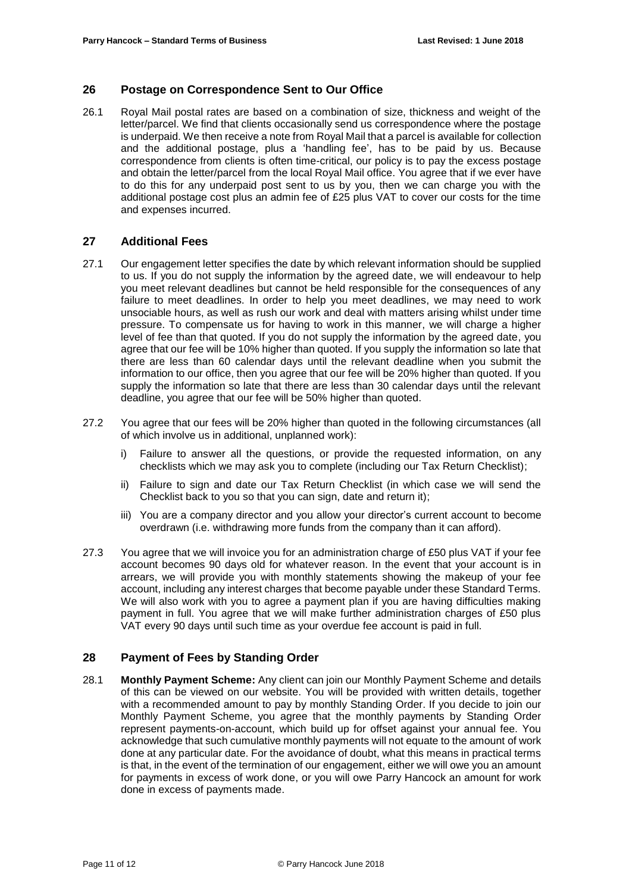# **26 Postage on Correspondence Sent to Our Office**

26.1 Royal Mail postal rates are based on a combination of size, thickness and weight of the letter/parcel. We find that clients occasionally send us correspondence where the postage is underpaid. We then receive a note from Royal Mail that a parcel is available for collection and the additional postage, plus a 'handling fee', has to be paid by us. Because correspondence from clients is often time-critical, our policy is to pay the excess postage and obtain the letter/parcel from the local Royal Mail office. You agree that if we ever have to do this for any underpaid post sent to us by you, then we can charge you with the additional postage cost plus an admin fee of £25 plus VAT to cover our costs for the time and expenses incurred.

### **27 Additional Fees**

- 27.1 Our engagement letter specifies the date by which relevant information should be supplied to us. If you do not supply the information by the agreed date, we will endeavour to help you meet relevant deadlines but cannot be held responsible for the consequences of any failure to meet deadlines. In order to help you meet deadlines, we may need to work unsociable hours, as well as rush our work and deal with matters arising whilst under time pressure. To compensate us for having to work in this manner, we will charge a higher level of fee than that quoted. If you do not supply the information by the agreed date, you agree that our fee will be 10% higher than quoted. If you supply the information so late that there are less than 60 calendar days until the relevant deadline when you submit the information to our office, then you agree that our fee will be 20% higher than quoted. If you supply the information so late that there are less than 30 calendar days until the relevant deadline, you agree that our fee will be 50% higher than quoted.
- 27.2 You agree that our fees will be 20% higher than quoted in the following circumstances (all of which involve us in additional, unplanned work):
	- i) Failure to answer all the questions, or provide the requested information, on any checklists which we may ask you to complete (including our Tax Return Checklist);
	- ii) Failure to sign and date our Tax Return Checklist (in which case we will send the Checklist back to you so that you can sign, date and return it);
	- iii) You are a company director and you allow your director's current account to become overdrawn (i.e. withdrawing more funds from the company than it can afford).
- 27.3 You agree that we will invoice you for an administration charge of £50 plus VAT if your fee account becomes 90 days old for whatever reason. In the event that your account is in arrears, we will provide you with monthly statements showing the makeup of your fee account, including any interest charges that become payable under these Standard Terms. We will also work with you to agree a payment plan if you are having difficulties making payment in full. You agree that we will make further administration charges of £50 plus VAT every 90 days until such time as your overdue fee account is paid in full.

# **28 Payment of Fees by Standing Order**

28.1 **Monthly Payment Scheme:** Any client can join our Monthly Payment Scheme and details of this can be viewed on our website. You will be provided with written details, together with a recommended amount to pay by monthly Standing Order. If you decide to join our Monthly Payment Scheme, you agree that the monthly payments by Standing Order represent payments-on-account, which build up for offset against your annual fee. You acknowledge that such cumulative monthly payments will not equate to the amount of work done at any particular date. For the avoidance of doubt, what this means in practical terms is that, in the event of the termination of our engagement, either we will owe you an amount for payments in excess of work done, or you will owe Parry Hancock an amount for work done in excess of payments made.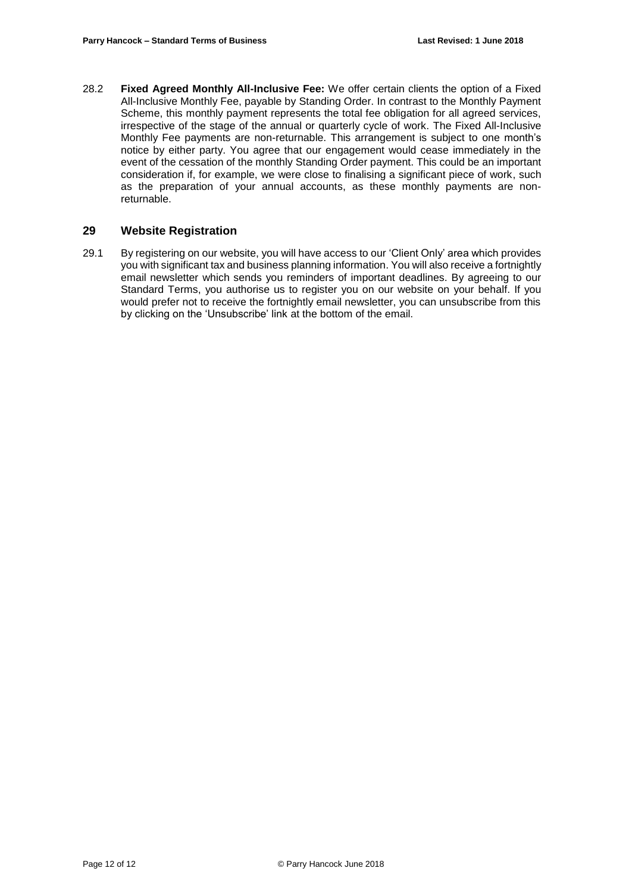28.2 **Fixed Agreed Monthly All-Inclusive Fee:** We offer certain clients the option of a Fixed All-Inclusive Monthly Fee, payable by Standing Order. In contrast to the Monthly Payment Scheme, this monthly payment represents the total fee obligation for all agreed services, irrespective of the stage of the annual or quarterly cycle of work. The Fixed All-Inclusive Monthly Fee payments are non-returnable. This arrangement is subject to one month's notice by either party. You agree that our engagement would cease immediately in the event of the cessation of the monthly Standing Order payment. This could be an important consideration if, for example, we were close to finalising a significant piece of work, such as the preparation of your annual accounts, as these monthly payments are nonreturnable.

### **29 Website Registration**

29.1 By registering on our website, you will have access to our 'Client Only' area which provides you with significant tax and business planning information. You will also receive a fortnightly email newsletter which sends you reminders of important deadlines. By agreeing to our Standard Terms, you authorise us to register you on our website on your behalf. If you would prefer not to receive the fortnightly email newsletter, you can unsubscribe from this by clicking on the 'Unsubscribe' link at the bottom of the email.